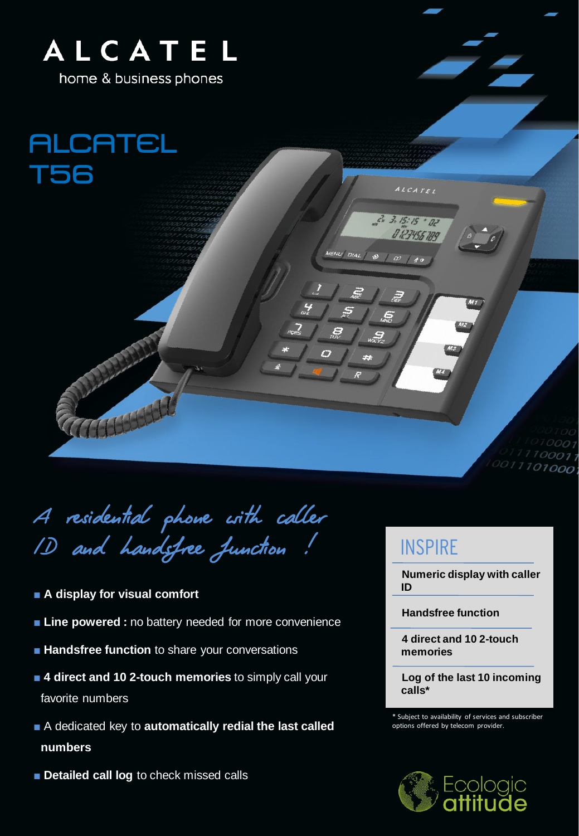

home & business phones

**ALCATEL T56** 

A residential phone with caller ID and handsfree function !

- **A display for visual comfort**
- **Line powered :** no battery needed for more convenience
- Handsfree function to share your conversations
- 4 direct and 10 2-touch memories to simply call your favorite numbers
- A dedicated key to **automatically redial the last called numbers**
- **Detailed call log** to check missed calls

## **INSPIRE**

ALCATEL

 $3.15:15.72$ 

DIAL

**Numeric display with caller ID**

 $111100011$  $0011101000;$ 

**Handsfree function**

**4 direct and 10 2-touch memories**

**Log of the last 10 incoming calls\***

\* Subject to availability of services and subscriber options offered by telecom provider.